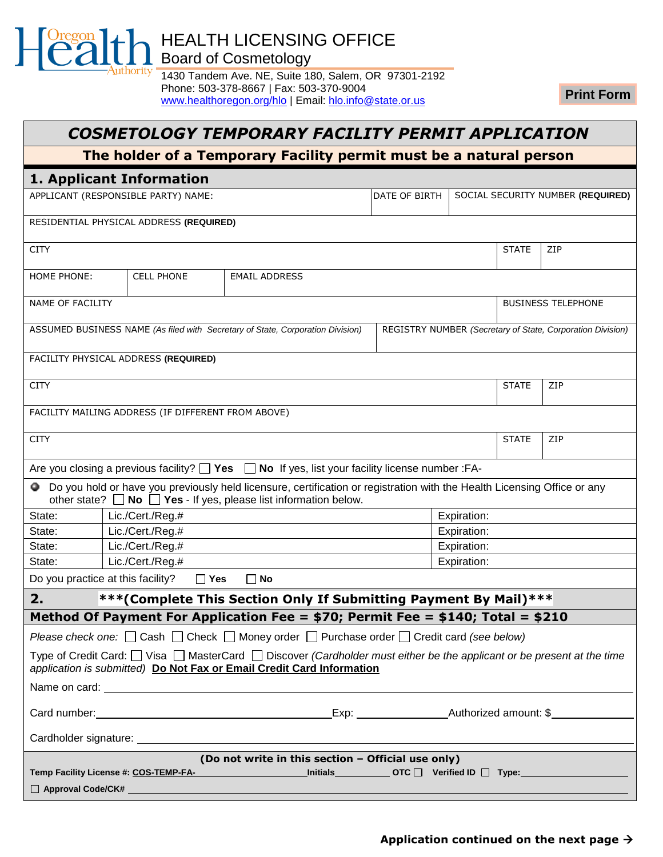HEALTH LICENSING OFFICE

Board of Cosmetology

**\**uthority '

1430 Tandem Ave. NE, Suite 180, Salem, OR 97301-2192 Phone: 503-378-8667 | Fax: 503-370-9004 [www.healthoregon.org/hlo](http://healthoregon.org/hlo) | Email: [hlo.info@state.or.us](mailto:hlo.info@state.or.us)

**Print Form**

| COSMETOLOGY TEMPORARY FACILITY PERMIT APPLICATION                                                                                                                                                              |                                                    |                                                                                                                                                                                                          |  |                                   |              |                                                            |
|----------------------------------------------------------------------------------------------------------------------------------------------------------------------------------------------------------------|----------------------------------------------------|----------------------------------------------------------------------------------------------------------------------------------------------------------------------------------------------------------|--|-----------------------------------|--------------|------------------------------------------------------------|
| The holder of a Temporary Facility permit must be a natural person                                                                                                                                             |                                                    |                                                                                                                                                                                                          |  |                                   |              |                                                            |
|                                                                                                                                                                                                                | 1. Applicant Information                           |                                                                                                                                                                                                          |  |                                   |              |                                                            |
| APPLICANT (RESPONSIBLE PARTY) NAME:<br>DATE OF BIRTH                                                                                                                                                           |                                                    |                                                                                                                                                                                                          |  | SOCIAL SECURITY NUMBER (REQUIRED) |              |                                                            |
|                                                                                                                                                                                                                | RESIDENTIAL PHYSICAL ADDRESS (REQUIRED)            |                                                                                                                                                                                                          |  |                                   |              |                                                            |
| <b>CITY</b>                                                                                                                                                                                                    |                                                    |                                                                                                                                                                                                          |  |                                   | <b>STATE</b> | <b>ZIP</b>                                                 |
| HOME PHONE:                                                                                                                                                                                                    | <b>CELL PHONE</b>                                  | <b>EMAIL ADDRESS</b>                                                                                                                                                                                     |  |                                   |              |                                                            |
| NAME OF FACILITY                                                                                                                                                                                               |                                                    |                                                                                                                                                                                                          |  |                                   |              | <b>BUSINESS TELEPHONE</b>                                  |
|                                                                                                                                                                                                                |                                                    | ASSUMED BUSINESS NAME (As filed with Secretary of State, Corporation Division)                                                                                                                           |  |                                   |              | REGISTRY NUMBER (Secretary of State, Corporation Division) |
|                                                                                                                                                                                                                | FACILITY PHYSICAL ADDRESS (REQUIRED)               |                                                                                                                                                                                                          |  |                                   |              |                                                            |
| <b>CITY</b>                                                                                                                                                                                                    |                                                    |                                                                                                                                                                                                          |  |                                   | <b>STATE</b> | ZIP                                                        |
|                                                                                                                                                                                                                | FACILITY MAILING ADDRESS (IF DIFFERENT FROM ABOVE) |                                                                                                                                                                                                          |  |                                   |              |                                                            |
| <b>CITY</b>                                                                                                                                                                                                    |                                                    |                                                                                                                                                                                                          |  |                                   | <b>STATE</b> | ZIP                                                        |
|                                                                                                                                                                                                                |                                                    | Are you closing a previous facility? $\Box$ Yes $\Box$ No If yes, list your facility license number : FA-                                                                                                |  |                                   |              |                                                            |
|                                                                                                                                                                                                                |                                                    | • Do you hold or have you previously held licensure, certification or registration with the Health Licensing Office or any<br>other state? $\Box$ No $\Box$ Yes - If yes, please list information below. |  |                                   |              |                                                            |
| State:                                                                                                                                                                                                         | Lic./Cert./Reg.#                                   |                                                                                                                                                                                                          |  | Expiration:                       |              |                                                            |
| State:                                                                                                                                                                                                         | Lic./Cert./Reg.#                                   |                                                                                                                                                                                                          |  | Expiration:                       |              |                                                            |
| State:                                                                                                                                                                                                         | Lic./Cert./Reg.#                                   |                                                                                                                                                                                                          |  | Expiration:                       |              |                                                            |
| State:                                                                                                                                                                                                         | Lic./Cert./Reg.#                                   |                                                                                                                                                                                                          |  | Expiration:                       |              |                                                            |
| Do you practice at this facility?                                                                                                                                                                              | $\Box$ Yes                                         | $\Box$ No                                                                                                                                                                                                |  |                                   |              |                                                            |
| *** (Complete This Section Only If Submitting Payment By Mail) ***<br>2.                                                                                                                                       |                                                    |                                                                                                                                                                                                          |  |                                   |              |                                                            |
|                                                                                                                                                                                                                |                                                    | Method Of Payment For Application Fee = \$70; Permit Fee = \$140; Total = \$210                                                                                                                          |  |                                   |              |                                                            |
| Please check one: $\Box$ Cash $\Box$ Check $\Box$ Money order $\Box$ Purchase order $\Box$ Credit card (see below)                                                                                             |                                                    |                                                                                                                                                                                                          |  |                                   |              |                                                            |
| Type of Credit Card: $\Box$ Visa $\Box$ MasterCard $\Box$ Discover (Cardholder must either be the applicant or be present at the time<br>application is submitted) Do Not Fax or Email Credit Card Information |                                                    |                                                                                                                                                                                                          |  |                                   |              |                                                            |
|                                                                                                                                                                                                                |                                                    |                                                                                                                                                                                                          |  |                                   |              |                                                            |
|                                                                                                                                                                                                                |                                                    |                                                                                                                                                                                                          |  |                                   |              |                                                            |
|                                                                                                                                                                                                                |                                                    |                                                                                                                                                                                                          |  |                                   |              |                                                            |
| (Do not write in this section – Official use only)                                                                                                                                                             |                                                    |                                                                                                                                                                                                          |  |                                   |              |                                                            |
|                                                                                                                                                                                                                |                                                    |                                                                                                                                                                                                          |  |                                   |              |                                                            |
|                                                                                                                                                                                                                |                                                    |                                                                                                                                                                                                          |  |                                   |              |                                                            |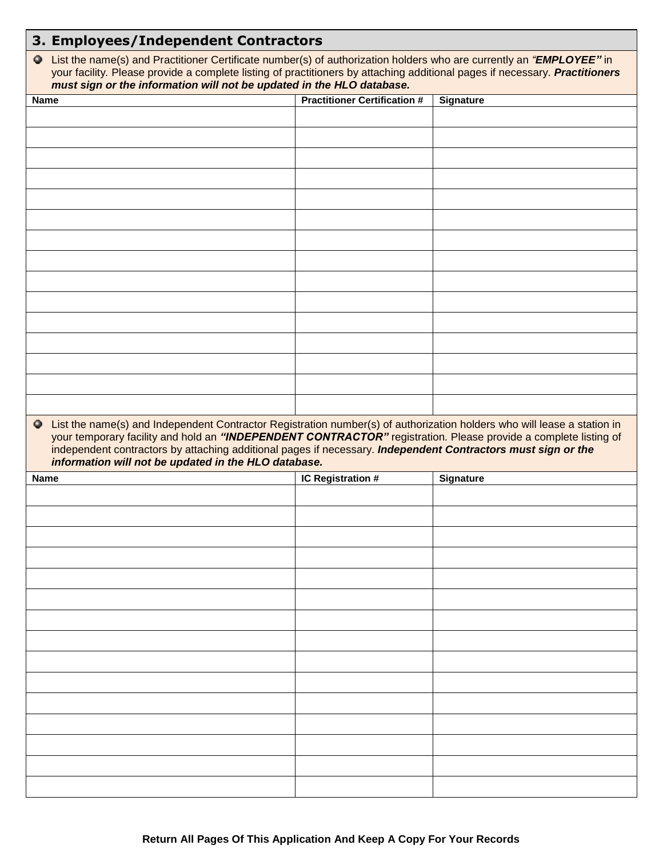|                                                                                                                                                                                                                                                                                                                                                              | 3. Employees/Independent Contractors                                                                                                                                                                                                                                                                                          |                                     |                  |  |  |
|--------------------------------------------------------------------------------------------------------------------------------------------------------------------------------------------------------------------------------------------------------------------------------------------------------------------------------------------------------------|-------------------------------------------------------------------------------------------------------------------------------------------------------------------------------------------------------------------------------------------------------------------------------------------------------------------------------|-------------------------------------|------------------|--|--|
|                                                                                                                                                                                                                                                                                                                                                              | O List the name(s) and Practitioner Certificate number(s) of authorization holders who are currently an "EMPLOYEE" in<br>your facility. Please provide a complete listing of practitioners by attaching additional pages if necessary. Practitioners<br>must sign or the information will not be updated in the HLO database. |                                     |                  |  |  |
| <b>Name</b>                                                                                                                                                                                                                                                                                                                                                  |                                                                                                                                                                                                                                                                                                                               | <b>Practitioner Certification #</b> | <b>Signature</b> |  |  |
|                                                                                                                                                                                                                                                                                                                                                              |                                                                                                                                                                                                                                                                                                                               |                                     |                  |  |  |
|                                                                                                                                                                                                                                                                                                                                                              |                                                                                                                                                                                                                                                                                                                               |                                     |                  |  |  |
|                                                                                                                                                                                                                                                                                                                                                              |                                                                                                                                                                                                                                                                                                                               |                                     |                  |  |  |
|                                                                                                                                                                                                                                                                                                                                                              |                                                                                                                                                                                                                                                                                                                               |                                     |                  |  |  |
|                                                                                                                                                                                                                                                                                                                                                              |                                                                                                                                                                                                                                                                                                                               |                                     |                  |  |  |
|                                                                                                                                                                                                                                                                                                                                                              |                                                                                                                                                                                                                                                                                                                               |                                     |                  |  |  |
|                                                                                                                                                                                                                                                                                                                                                              |                                                                                                                                                                                                                                                                                                                               |                                     |                  |  |  |
|                                                                                                                                                                                                                                                                                                                                                              |                                                                                                                                                                                                                                                                                                                               |                                     |                  |  |  |
|                                                                                                                                                                                                                                                                                                                                                              |                                                                                                                                                                                                                                                                                                                               |                                     |                  |  |  |
|                                                                                                                                                                                                                                                                                                                                                              |                                                                                                                                                                                                                                                                                                                               |                                     |                  |  |  |
|                                                                                                                                                                                                                                                                                                                                                              |                                                                                                                                                                                                                                                                                                                               |                                     |                  |  |  |
|                                                                                                                                                                                                                                                                                                                                                              |                                                                                                                                                                                                                                                                                                                               |                                     |                  |  |  |
|                                                                                                                                                                                                                                                                                                                                                              |                                                                                                                                                                                                                                                                                                                               |                                     |                  |  |  |
|                                                                                                                                                                                                                                                                                                                                                              |                                                                                                                                                                                                                                                                                                                               |                                     |                  |  |  |
|                                                                                                                                                                                                                                                                                                                                                              |                                                                                                                                                                                                                                                                                                                               |                                     |                  |  |  |
|                                                                                                                                                                                                                                                                                                                                                              |                                                                                                                                                                                                                                                                                                                               |                                     |                  |  |  |
| • List the name(s) and Independent Contractor Registration number(s) of authorization holders who will lease a station in<br>your temporary facility and hold an "INDEPENDENT CONTRACTOR" registration. Please provide a complete listing of<br>independent contractors by attaching additional pages if necessary. Independent Contractors must sign or the |                                                                                                                                                                                                                                                                                                                               |                                     |                  |  |  |
|                                                                                                                                                                                                                                                                                                                                                              | information will not be updated in the HLO database.                                                                                                                                                                                                                                                                          |                                     |                  |  |  |
| <b>Name</b>                                                                                                                                                                                                                                                                                                                                                  |                                                                                                                                                                                                                                                                                                                               | IC Registration #                   | <b>Signature</b> |  |  |
|                                                                                                                                                                                                                                                                                                                                                              |                                                                                                                                                                                                                                                                                                                               |                                     |                  |  |  |
|                                                                                                                                                                                                                                                                                                                                                              |                                                                                                                                                                                                                                                                                                                               |                                     |                  |  |  |
|                                                                                                                                                                                                                                                                                                                                                              |                                                                                                                                                                                                                                                                                                                               |                                     |                  |  |  |
|                                                                                                                                                                                                                                                                                                                                                              |                                                                                                                                                                                                                                                                                                                               |                                     |                  |  |  |
|                                                                                                                                                                                                                                                                                                                                                              |                                                                                                                                                                                                                                                                                                                               |                                     |                  |  |  |
|                                                                                                                                                                                                                                                                                                                                                              |                                                                                                                                                                                                                                                                                                                               |                                     |                  |  |  |
|                                                                                                                                                                                                                                                                                                                                                              |                                                                                                                                                                                                                                                                                                                               |                                     |                  |  |  |
|                                                                                                                                                                                                                                                                                                                                                              |                                                                                                                                                                                                                                                                                                                               |                                     |                  |  |  |
|                                                                                                                                                                                                                                                                                                                                                              |                                                                                                                                                                                                                                                                                                                               |                                     |                  |  |  |
|                                                                                                                                                                                                                                                                                                                                                              |                                                                                                                                                                                                                                                                                                                               |                                     |                  |  |  |
|                                                                                                                                                                                                                                                                                                                                                              |                                                                                                                                                                                                                                                                                                                               |                                     |                  |  |  |
|                                                                                                                                                                                                                                                                                                                                                              |                                                                                                                                                                                                                                                                                                                               |                                     |                  |  |  |
|                                                                                                                                                                                                                                                                                                                                                              |                                                                                                                                                                                                                                                                                                                               |                                     |                  |  |  |
|                                                                                                                                                                                                                                                                                                                                                              |                                                                                                                                                                                                                                                                                                                               |                                     |                  |  |  |
|                                                                                                                                                                                                                                                                                                                                                              |                                                                                                                                                                                                                                                                                                                               |                                     |                  |  |  |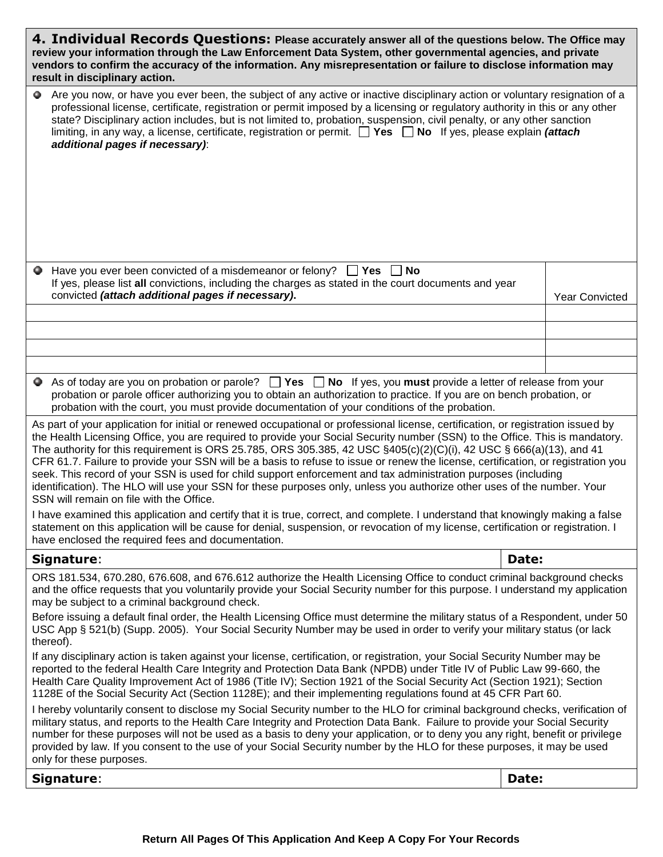| 4. Individual Records Questions: Please accurately answer all of the questions below. The Office may<br>review your information through the Law Enforcement Data System, other governmental agencies, and private<br>vendors to confirm the accuracy of the information. Any misrepresentation or failure to disclose information may<br>result in disciplinary action.                                                                                                                                                                                                                                                                                                                                                                                                                                                       |                                                                                                                                                                                                                                                                                                                                                                                                                                                                                                                                                                  |       |                       |  |
|-------------------------------------------------------------------------------------------------------------------------------------------------------------------------------------------------------------------------------------------------------------------------------------------------------------------------------------------------------------------------------------------------------------------------------------------------------------------------------------------------------------------------------------------------------------------------------------------------------------------------------------------------------------------------------------------------------------------------------------------------------------------------------------------------------------------------------|------------------------------------------------------------------------------------------------------------------------------------------------------------------------------------------------------------------------------------------------------------------------------------------------------------------------------------------------------------------------------------------------------------------------------------------------------------------------------------------------------------------------------------------------------------------|-------|-----------------------|--|
| ۰                                                                                                                                                                                                                                                                                                                                                                                                                                                                                                                                                                                                                                                                                                                                                                                                                             | Are you now, or have you ever been, the subject of any active or inactive disciplinary action or voluntary resignation of a<br>professional license, certificate, registration or permit imposed by a licensing or regulatory authority in this or any other<br>state? Disciplinary action includes, but is not limited to, probation, suspension, civil penalty, or any other sanction<br>limiting, in any way, a license, certificate, registration or permit. $\Box$ Yes $\Box$ No If yes, please explain <i>(attach</i> )<br>additional pages if necessary): |       |                       |  |
|                                                                                                                                                                                                                                                                                                                                                                                                                                                                                                                                                                                                                                                                                                                                                                                                                               | Have you ever been convicted of a misdemeanor or felony? $\Box$ Yes<br>∣No                                                                                                                                                                                                                                                                                                                                                                                                                                                                                       |       |                       |  |
|                                                                                                                                                                                                                                                                                                                                                                                                                                                                                                                                                                                                                                                                                                                                                                                                                               | If yes, please list all convictions, including the charges as stated in the court documents and year<br>convicted (attach additional pages if necessary).                                                                                                                                                                                                                                                                                                                                                                                                        |       | <b>Year Convicted</b> |  |
|                                                                                                                                                                                                                                                                                                                                                                                                                                                                                                                                                                                                                                                                                                                                                                                                                               |                                                                                                                                                                                                                                                                                                                                                                                                                                                                                                                                                                  |       |                       |  |
|                                                                                                                                                                                                                                                                                                                                                                                                                                                                                                                                                                                                                                                                                                                                                                                                                               |                                                                                                                                                                                                                                                                                                                                                                                                                                                                                                                                                                  |       |                       |  |
|                                                                                                                                                                                                                                                                                                                                                                                                                                                                                                                                                                                                                                                                                                                                                                                                                               |                                                                                                                                                                                                                                                                                                                                                                                                                                                                                                                                                                  |       |                       |  |
|                                                                                                                                                                                                                                                                                                                                                                                                                                                                                                                                                                                                                                                                                                                                                                                                                               | As of today are you on probation or parole? $\Box$ Yes $\Box$ No If yes, you must provide a letter of release from your<br>probation or parole officer authorizing you to obtain an authorization to practice. If you are on bench probation, or<br>probation with the court, you must provide documentation of your conditions of the probation.                                                                                                                                                                                                                |       |                       |  |
| As part of your application for initial or renewed occupational or professional license, certification, or registration issued by<br>the Health Licensing Office, you are required to provide your Social Security number (SSN) to the Office. This is mandatory.<br>The authority for this requirement is ORS 25.785, ORS 305.385, 42 USC $\S$ 405(c)(2)(C)(i), 42 USC $\S$ 666(a)(13), and 41<br>CFR 61.7. Failure to provide your SSN will be a basis to refuse to issue or renew the license, certification, or registration you<br>seek. This record of your SSN is used for child support enforcement and tax administration purposes (including<br>identification). The HLO will use your SSN for these purposes only, unless you authorize other uses of the number. Your<br>SSN will remain on file with the Office. |                                                                                                                                                                                                                                                                                                                                                                                                                                                                                                                                                                  |       |                       |  |
| I have examined this application and certify that it is true, correct, and complete. I understand that knowingly making a false<br>statement on this application will be cause for denial, suspension, or revocation of my license, certification or registration. I<br>have enclosed the required fees and documentation.                                                                                                                                                                                                                                                                                                                                                                                                                                                                                                    |                                                                                                                                                                                                                                                                                                                                                                                                                                                                                                                                                                  |       |                       |  |
|                                                                                                                                                                                                                                                                                                                                                                                                                                                                                                                                                                                                                                                                                                                                                                                                                               | Signature:                                                                                                                                                                                                                                                                                                                                                                                                                                                                                                                                                       | Date: |                       |  |
| ORS 181.534, 670.280, 676.608, and 676.612 authorize the Health Licensing Office to conduct criminal background checks<br>and the office requests that you voluntarily provide your Social Security number for this purpose. I understand my application<br>may be subject to a criminal background check.<br>Before issuing a default final order, the Health Licensing Office must determine the military status of a Respondent, under 50<br>USC App § 521(b) (Supp. 2005). Your Social Security Number may be used in order to verify your military status (or lack                                                                                                                                                                                                                                                       |                                                                                                                                                                                                                                                                                                                                                                                                                                                                                                                                                                  |       |                       |  |
|                                                                                                                                                                                                                                                                                                                                                                                                                                                                                                                                                                                                                                                                                                                                                                                                                               | thereof).<br>If any disciplinary action is taken against your license, certification, or registration, your Social Security Number may be<br>reported to the federal Health Care Integrity and Protection Data Bank (NPDB) under Title IV of Public Law 99-660, the<br>Health Care Quality Improvement Act of 1986 (Title IV); Section 1921 of the Social Security Act (Section 1921); Section<br>1128E of the Social Security Act (Section 1128E); and their implementing regulations found at 45 CFR Part 60.                                                  |       |                       |  |
| I hereby voluntarily consent to disclose my Social Security number to the HLO for criminal background checks, verification of<br>military status, and reports to the Health Care Integrity and Protection Data Bank. Failure to provide your Social Security<br>number for these purposes will not be used as a basis to deny your application, or to deny you any right, benefit or privilege<br>provided by law. If you consent to the use of your Social Security number by the HLO for these purposes, it may be used<br>only for these purposes.                                                                                                                                                                                                                                                                         |                                                                                                                                                                                                                                                                                                                                                                                                                                                                                                                                                                  |       |                       |  |
|                                                                                                                                                                                                                                                                                                                                                                                                                                                                                                                                                                                                                                                                                                                                                                                                                               | Signature:                                                                                                                                                                                                                                                                                                                                                                                                                                                                                                                                                       | Date: |                       |  |